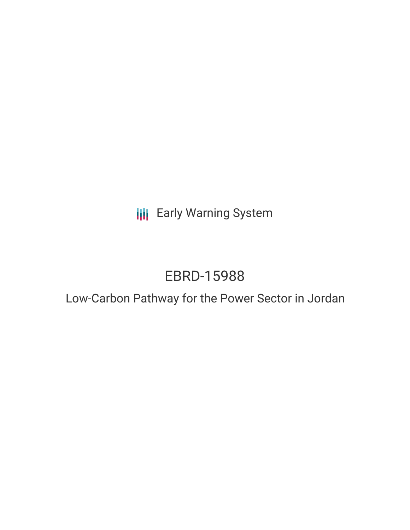**III** Early Warning System

# EBRD-15988

# Low-Carbon Pathway for the Power Sector in Jordan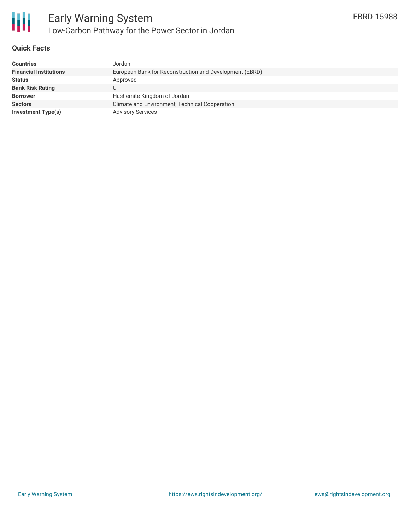

#### **Quick Facts**

| <b>Countries</b>              | Jordan                                                  |
|-------------------------------|---------------------------------------------------------|
| <b>Financial Institutions</b> | European Bank for Reconstruction and Development (EBRD) |
| <b>Status</b>                 | Approved                                                |
| <b>Bank Risk Rating</b>       |                                                         |
| <b>Borrower</b>               | Hashemite Kingdom of Jordan                             |
| <b>Sectors</b>                | Climate and Environment, Technical Cooperation          |
| <b>Investment Type(s)</b>     | <b>Advisory Services</b>                                |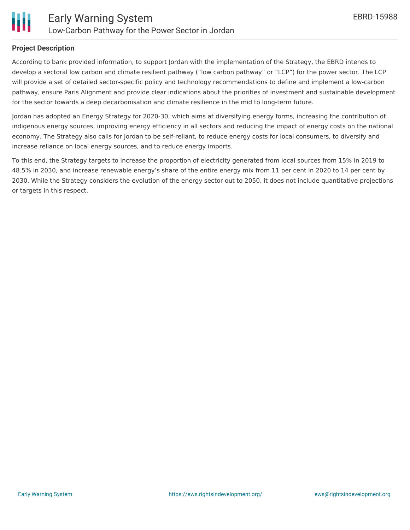

#### **Project Description**

According to bank provided information, to support Jordan with the implementation of the Strategy, the EBRD intends to develop a sectoral low carbon and climate resilient pathway ("low carbon pathway" or "LCP") for the power sector. The LCP will provide a set of detailed sector-specific policy and technology recommendations to define and implement a low-carbon pathway, ensure Paris Alignment and provide clear indications about the priorities of investment and sustainable development for the sector towards a deep decarbonisation and climate resilience in the mid to long-term future.

Jordan has adopted an Energy Strategy for 2020-30, which aims at diversifying energy forms, increasing the contribution of indigenous energy sources, improving energy efficiency in all sectors and reducing the impact of energy costs on the national economy. The Strategy also calls for Jordan to be self-reliant, to reduce energy costs for local consumers, to diversify and increase reliance on local energy sources, and to reduce energy imports.

To this end, the Strategy targets to increase the proportion of electricity generated from local sources from 15% in 2019 to 48.5% in 2030, and increase renewable energy's share of the entire energy mix from 11 per cent in 2020 to 14 per cent by 2030. While the Strategy considers the evolution of the energy sector out to 2050, it does not include quantitative projections or targets in this respect.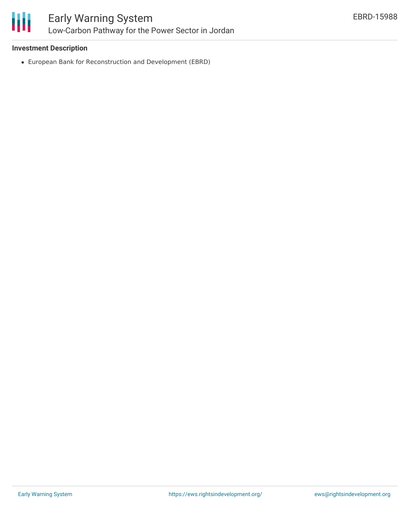

### **Investment Description**

European Bank for Reconstruction and Development (EBRD)